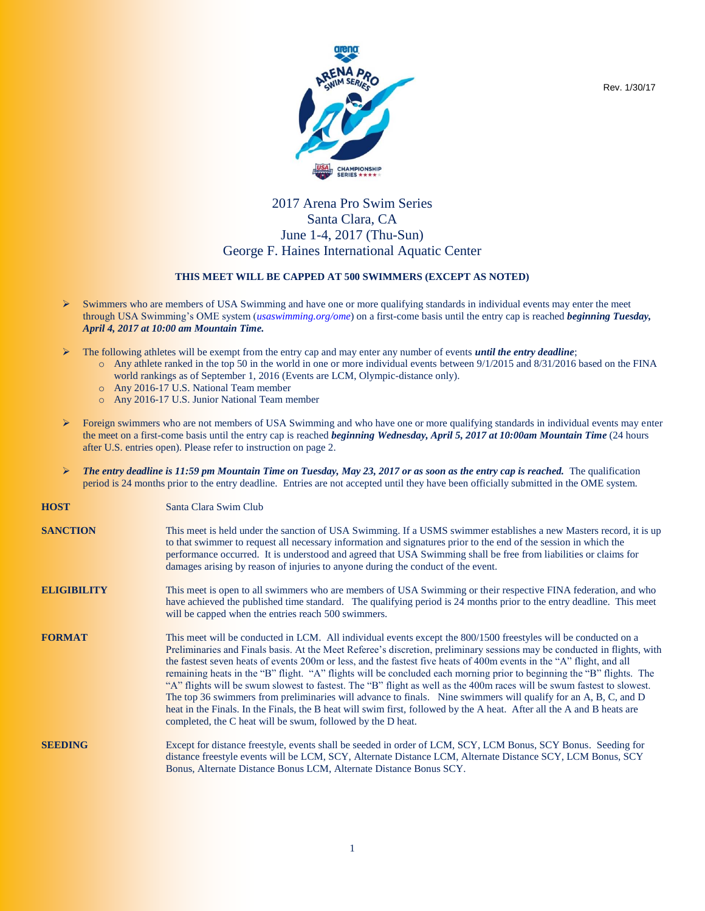

## 2017 Arena Pro Swim Series Santa Clara, CA June 1-4, 2017 (Thu-Sun) George F. Haines International Aquatic Center

## **THIS MEET WILL BE CAPPED AT 500 SWIMMERS (EXCEPT AS NOTED)**

- $\triangleright$  Swimmers who are members of USA Swimming and have one or more qualifying standards in individual events may enter the meet through USA Swimming's OME system (*usaswimming.org/ome*) on a first-come basis until the entry cap is reached *beginning Tuesday, April 4, 2017 at 10:00 am Mountain Time.*
- The following athletes will be exempt from the entry cap and may enter any number of events *until the entry deadline*;
	- $\alpha$  Any athlete ranked in the top 50 in the world in one or more individual events between 9/1/2015 and 8/31/2016 based on the FINA world rankings as of September 1, 2016 (Events are LCM, Olympic-distance only).
	- o Any 2016-17 U.S. National Team member
	- o Any 2016-17 U.S. Junior National Team member
- Foreign swimmers who are not members of USA Swimming and who have one or more qualifying standards in individual events may enter the meet on a first-come basis until the entry cap is reached *beginning Wednesday, April 5, 2017 at 10:00am Mountain Time* (24 hours after U.S. entries open). Please refer to instruction on page 2.
- *The entry deadline is 11:59 pm Mountain Time on Tuesday, May 23, 2017 or as soon as the entry cap is reached.* The qualification period is 24 months prior to the entry deadline. Entries are not accepted until they have been officially submitted in the OME system.

| <b>HOST</b>        | Santa Clara Swim Club                                                                                                                                                                                                                                                                                                                                                                                                                                                                                                                                                                                                                                                                                                                                                                                                                                                                                                              |
|--------------------|------------------------------------------------------------------------------------------------------------------------------------------------------------------------------------------------------------------------------------------------------------------------------------------------------------------------------------------------------------------------------------------------------------------------------------------------------------------------------------------------------------------------------------------------------------------------------------------------------------------------------------------------------------------------------------------------------------------------------------------------------------------------------------------------------------------------------------------------------------------------------------------------------------------------------------|
| <b>SANCTION</b>    | This meet is held under the sanction of USA Swimming. If a USMS swimmer establishes a new Masters record, it is up<br>to that swimmer to request all necessary information and signatures prior to the end of the session in which the<br>performance occurred. It is understood and agreed that USA Swimming shall be free from liabilities or claims for<br>damages arising by reason of injuries to anyone during the conduct of the event.                                                                                                                                                                                                                                                                                                                                                                                                                                                                                     |
| <b>ELIGIBILITY</b> | This meet is open to all swimmers who are members of USA Swimming or their respective FINA federation, and who<br>have achieved the published time standard. The qualifying period is 24 months prior to the entry deadline. This meet<br>will be capped when the entries reach 500 swimmers.                                                                                                                                                                                                                                                                                                                                                                                                                                                                                                                                                                                                                                      |
| <b>FORMAT</b>      | This meet will be conducted in LCM. All individual events except the 800/1500 freestyles will be conducted on a<br>Preliminaries and Finals basis. At the Meet Referee's discretion, preliminary sessions may be conducted in flights, with<br>the fastest seven heats of events 200m or less, and the fastest five heats of 400m events in the "A" flight, and all<br>remaining heats in the "B" flight. "A" flights will be concluded each morning prior to beginning the "B" flights. The<br>"A" flights will be swum slowest to fastest. The "B" flight as well as the 400m races will be swum fastest to slowest.<br>The top 36 swimmers from preliminaries will advance to finals. Nine swimmers will qualify for an A, B, C, and D<br>heat in the Finals. In the Finals, the B heat will swim first, followed by the A heat. After all the A and B heats are<br>completed, the C heat will be swum, followed by the D heat. |
| <b>SEEDING</b>     | Except for distance freestyle, events shall be seeded in order of LCM, SCY, LCM Bonus, SCY Bonus. Seeding for<br>distance freestyle events will be LCM, SCY, Alternate Distance LCM, Alternate Distance SCY, LCM Bonus, SCY<br>Bonus, Alternate Distance Bonus LCM, Alternate Distance Bonus SCY.                                                                                                                                                                                                                                                                                                                                                                                                                                                                                                                                                                                                                                  |

Rev. 1/30/17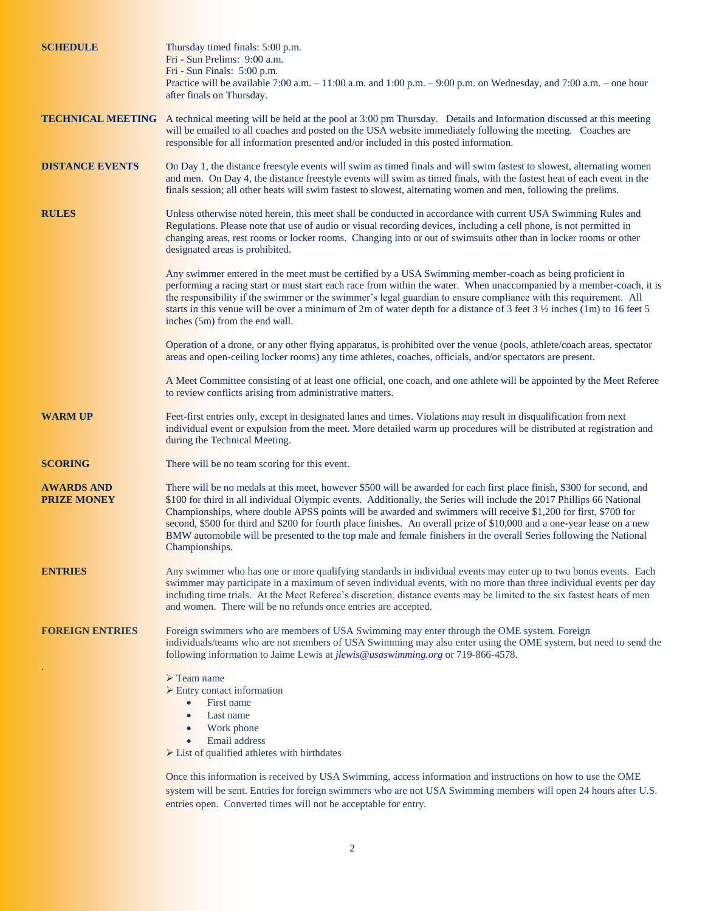| <b>SCHEDULE</b>                         | Thursday timed finals: 5:00 p.m.<br>Fri - Sun Prelims: 9:00 a.m.<br>Fri - Sun Finals: 5:00 p.m.<br>Practice will be available $7:00$ a.m. $-11:00$ a.m. and $1:00$ p.m. $-9:00$ p.m. on Wednesday, and $7:00$ a.m. $-$ one hour<br>after finals on Thursday.                                                                                                                                                                                                                                                                                                                                                                         |  |  |  |  |  |
|-----------------------------------------|--------------------------------------------------------------------------------------------------------------------------------------------------------------------------------------------------------------------------------------------------------------------------------------------------------------------------------------------------------------------------------------------------------------------------------------------------------------------------------------------------------------------------------------------------------------------------------------------------------------------------------------|--|--|--|--|--|
|                                         | <b>TECHNICAL MEETING</b> A technical meeting will be held at the pool at 3:00 pm Thursday. Details and Information discussed at this meeting<br>will be emailed to all coaches and posted on the USA website immediately following the meeting. Coaches are<br>responsible for all information presented and/or included in this posted information.                                                                                                                                                                                                                                                                                 |  |  |  |  |  |
| <b>DISTANCE EVENTS</b>                  | On Day 1, the distance freestyle events will swim as timed finals and will swim fastest to slowest, alternating women<br>and men. On Day 4, the distance freestyle events will swim as timed finals, with the fastest heat of each event in the<br>finals session; all other heats will swim fastest to slowest, alternating women and men, following the prelims.                                                                                                                                                                                                                                                                   |  |  |  |  |  |
| <b>RULES</b>                            | Unless otherwise noted herein, this meet shall be conducted in accordance with current USA Swimming Rules and<br>Regulations. Please note that use of audio or visual recording devices, including a cell phone, is not permitted in<br>changing areas, rest rooms or locker rooms. Changing into or out of swimsuits other than in locker rooms or other<br>designated areas is prohibited.                                                                                                                                                                                                                                         |  |  |  |  |  |
|                                         | Any swimmer entered in the meet must be certified by a USA Swimming member-coach as being proficient in<br>performing a racing start or must start each race from within the water. When unaccompanied by a member-coach, it is<br>the responsibility if the swimmer or the swimmer's legal guardian to ensure compliance with this requirement. All<br>starts in this venue will be over a minimum of 2m of water depth for a distance of 3 feet $3\frac{1}{2}$ inches (1m) to 16 feet 5<br>inches (5m) from the end wall.                                                                                                          |  |  |  |  |  |
|                                         | Operation of a drone, or any other flying apparatus, is prohibited over the venue (pools, athlete/coach areas, spectator<br>areas and open-ceiling locker rooms) any time athletes, coaches, officials, and/or spectators are present.                                                                                                                                                                                                                                                                                                                                                                                               |  |  |  |  |  |
|                                         | A Meet Committee consisting of at least one official, one coach, and one athlete will be appointed by the Meet Referee<br>to review conflicts arising from administrative matters.                                                                                                                                                                                                                                                                                                                                                                                                                                                   |  |  |  |  |  |
| <b>WARM UP</b>                          | Feet-first entries only, except in designated lanes and times. Violations may result in disqualification from next<br>individual event or expulsion from the meet. More detailed warm up procedures will be distributed at registration and<br>during the Technical Meeting.                                                                                                                                                                                                                                                                                                                                                         |  |  |  |  |  |
| <b>SCORING</b>                          | There will be no team scoring for this event.                                                                                                                                                                                                                                                                                                                                                                                                                                                                                                                                                                                        |  |  |  |  |  |
| <b>AWARDS AND</b><br><b>PRIZE MONEY</b> | There will be no medals at this meet, however \$500 will be awarded for each first place finish, \$300 for second, and<br>\$100 for third in all individual Olympic events. Additionally, the Series will include the 2017 Phillips 66 National<br>Championships, where double APSS points will be awarded and swimmers will receive \$1,200 for first, \$700 for<br>second, \$500 for third and \$200 for fourth place finishes. An overall prize of \$10,000 and a one-year lease on a new<br>BMW automobile will be presented to the top male and female finishers in the overall Series following the National<br>Championships. |  |  |  |  |  |
| <b>ENTRIES</b>                          | Any swimmer who has one or more qualifying standards in individual events may enter up to two bonus events. Each<br>swimmer may participate in a maximum of seven individual events, with no more than three individual events per day<br>including time trials. At the Meet Referee's discretion, distance events may be limited to the six fastest heats of men<br>and women. There will be no refunds once entries are accepted.                                                                                                                                                                                                  |  |  |  |  |  |
| <b>FOREIGN ENTRIES</b>                  | Foreign swimmers who are members of USA Swimming may enter through the OME system. Foreign<br>individuals/teams who are not members of USA Swimming may also enter using the OME system, but need to send the<br>following information to Jaime Lewis at <i>jlewis@usaswimming.org</i> or 719-866-4578.                                                                                                                                                                                                                                                                                                                              |  |  |  |  |  |
|                                         | $\triangleright$ Team name<br>$\triangleright$ Entry contact information<br>First name<br>$\bullet$<br>Last name<br>$\bullet$<br>Work phone<br>$\bullet$<br>Email address<br>$\triangleright$ List of qualified athletes with birthdates                                                                                                                                                                                                                                                                                                                                                                                             |  |  |  |  |  |
|                                         | Once this information is received by USA Swimming, access information and instructions on how to use the OME                                                                                                                                                                                                                                                                                                                                                                                                                                                                                                                         |  |  |  |  |  |

system will be sent. Entries for foreign swimmers who are not USA Swimming members will open 24 hours after U.S. entries open. Converted times will not be acceptable for entry.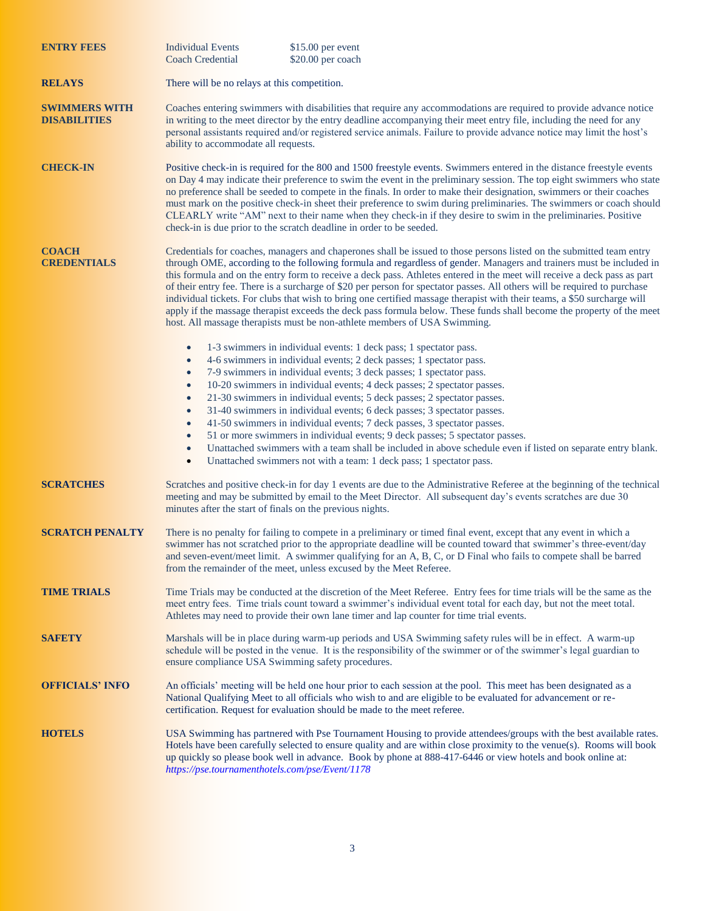| <b>ENTRY FEES</b>                           | <b>Individual Events</b><br>$$15.00$ per event<br><b>Coach Credential</b><br>\$20.00 per coach                                                                                                                                                                                                                                                                                                                                                                                                                                                                                                                                                                                                                                                                                                                                                                                                                                      |  |  |  |  |  |  |
|---------------------------------------------|-------------------------------------------------------------------------------------------------------------------------------------------------------------------------------------------------------------------------------------------------------------------------------------------------------------------------------------------------------------------------------------------------------------------------------------------------------------------------------------------------------------------------------------------------------------------------------------------------------------------------------------------------------------------------------------------------------------------------------------------------------------------------------------------------------------------------------------------------------------------------------------------------------------------------------------|--|--|--|--|--|--|
| <b>RELAYS</b>                               | There will be no relays at this competition.                                                                                                                                                                                                                                                                                                                                                                                                                                                                                                                                                                                                                                                                                                                                                                                                                                                                                        |  |  |  |  |  |  |
| <b>SWIMMERS WITH</b><br><b>DISABILITIES</b> | Coaches entering swimmers with disabilities that require any accommodations are required to provide advance notice<br>in writing to the meet director by the entry deadline accompanying their meet entry file, including the need for any<br>personal assistants required and/or registered service animals. Failure to provide advance notice may limit the host's<br>ability to accommodate all requests.                                                                                                                                                                                                                                                                                                                                                                                                                                                                                                                        |  |  |  |  |  |  |
| <b>CHECK-IN</b>                             | Positive check-in is required for the 800 and 1500 freestyle events. Swimmers entered in the distance freestyle events<br>on Day 4 may indicate their preference to swim the event in the preliminary session. The top eight swimmers who state<br>no preference shall be seeded to compete in the finals. In order to make their designation, swimmers or their coaches<br>must mark on the positive check-in sheet their preference to swim during preliminaries. The swimmers or coach should<br>CLEARLY write "AM" next to their name when they check-in if they desire to swim in the preliminaries. Positive<br>check-in is due prior to the scratch deadline in order to be seeded.                                                                                                                                                                                                                                          |  |  |  |  |  |  |
| <b>COACH</b><br><b>CREDENTIALS</b>          | Credentials for coaches, managers and chaperones shall be issued to those persons listed on the submitted team entry<br>through OME, according to the following formula and regardless of gender. Managers and trainers must be included in<br>this formula and on the entry form to receive a deck pass. Athletes entered in the meet will receive a deck pass as part<br>of their entry fee. There is a surcharge of \$20 per person for spectator passes. All others will be required to purchase<br>individual tickets. For clubs that wish to bring one certified massage therapist with their teams, a \$50 surcharge will<br>apply if the massage therapist exceeds the deck pass formula below. These funds shall become the property of the meet<br>host. All massage therapists must be non-athlete members of USA Swimming.                                                                                              |  |  |  |  |  |  |
|                                             | 1-3 swimmers in individual events: 1 deck pass; 1 spectator pass.<br>$\bullet$<br>4-6 swimmers in individual events; 2 deck passes; 1 spectator pass.<br>$\bullet$<br>7-9 swimmers in individual events; 3 deck passes; 1 spectator pass.<br>$\bullet$<br>10-20 swimmers in individual events; 4 deck passes; 2 spectator passes.<br>$\bullet$<br>21-30 swimmers in individual events; 5 deck passes; 2 spectator passes.<br>$\bullet$<br>31-40 swimmers in individual events; 6 deck passes; 3 spectator passes.<br>$\bullet$<br>41-50 swimmers in individual events; 7 deck passes, 3 spectator passes.<br>$\bullet$<br>51 or more swimmers in individual events; 9 deck passes; 5 spectator passes.<br>$\bullet$<br>Unattached swimmers with a team shall be included in above schedule even if listed on separate entry blank.<br>$\bullet$<br>Unattached swimmers not with a team: 1 deck pass; 1 spectator pass.<br>$\bullet$ |  |  |  |  |  |  |
| <b>SCRATCHES</b>                            | Scratches and positive check-in for day 1 events are due to the Administrative Referee at the beginning of the technical<br>meeting and may be submitted by email to the Meet Director. All subsequent day's events scratches are due 30<br>minutes after the start of finals on the previous nights.                                                                                                                                                                                                                                                                                                                                                                                                                                                                                                                                                                                                                               |  |  |  |  |  |  |
| <b>SCRATCH PENALTY</b>                      | There is no penalty for failing to compete in a preliminary or timed final event, except that any event in which a<br>swimmer has not scratched prior to the appropriate deadline will be counted toward that swimmer's three-event/day<br>and seven-event/meet limit. A swimmer qualifying for an A, B, C, or D Final who fails to compete shall be barred<br>from the remainder of the meet, unless excused by the Meet Referee.                                                                                                                                                                                                                                                                                                                                                                                                                                                                                                  |  |  |  |  |  |  |
| <b>TIME TRIALS</b>                          | Time Trials may be conducted at the discretion of the Meet Referee. Entry fees for time trials will be the same as the<br>meet entry fees. Time trials count toward a swimmer's individual event total for each day, but not the meet total.<br>Athletes may need to provide their own lane timer and lap counter for time trial events.                                                                                                                                                                                                                                                                                                                                                                                                                                                                                                                                                                                            |  |  |  |  |  |  |
| <b>SAFETY</b>                               | Marshals will be in place during warm-up periods and USA Swimming safety rules will be in effect. A warm-up<br>schedule will be posted in the venue. It is the responsibility of the swimmer or of the swimmer's legal guardian to<br>ensure compliance USA Swimming safety procedures.                                                                                                                                                                                                                                                                                                                                                                                                                                                                                                                                                                                                                                             |  |  |  |  |  |  |
| <b>OFFICIALS' INFO</b>                      | An officials' meeting will be held one hour prior to each session at the pool. This meet has been designated as a<br>National Qualifying Meet to all officials who wish to and are eligible to be evaluated for advancement or re-<br>certification. Request for evaluation should be made to the meet referee.                                                                                                                                                                                                                                                                                                                                                                                                                                                                                                                                                                                                                     |  |  |  |  |  |  |
| <b>HOTELS</b>                               | USA Swimming has partnered with Pse Tournament Housing to provide attendees/groups with the best available rates.<br>Hotels have been carefully selected to ensure quality and are within close proximity to the venue(s). Rooms will book<br>up quickly so please book well in advance. Book by phone at 888-417-6446 or view hotels and book online at:<br>https://pse.tournamenthotels.com/pse/Event/1178                                                                                                                                                                                                                                                                                                                                                                                                                                                                                                                        |  |  |  |  |  |  |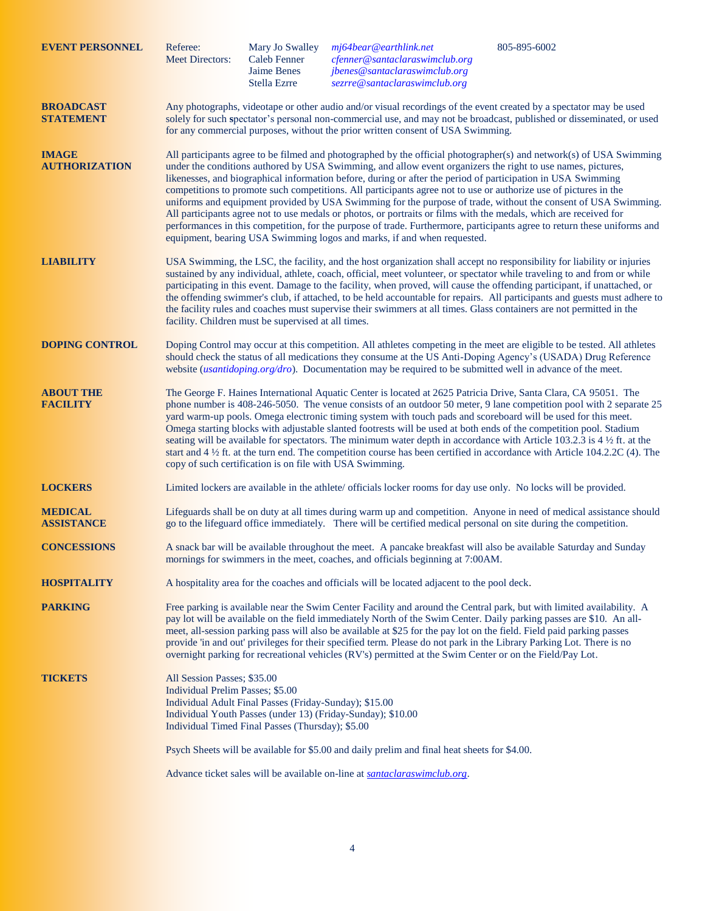| <b>EVENT PERSONNEL</b>               |                                                                                                                                                                                                                                                                                                                                                                 | Referee:<br><b>Meet Directors:</b>                                                                                                                                                                                                                                                                                                                                                                                                                                                                                                                                                                                                                                                                                                                                                                                                                                                                                   | Mary Jo Swalley<br><b>Caleb Fenner</b><br>Jaime Benes<br>Stella Ezrre                                      | $m$ j64bear@earthlink.net<br>cfenner@santaclaraswimclub.org<br>jbenes@santaclaraswimclub.org<br>sezrre@santaclaraswimclub.org | 805-895-6002 |  |  |  |  |
|--------------------------------------|-----------------------------------------------------------------------------------------------------------------------------------------------------------------------------------------------------------------------------------------------------------------------------------------------------------------------------------------------------------------|----------------------------------------------------------------------------------------------------------------------------------------------------------------------------------------------------------------------------------------------------------------------------------------------------------------------------------------------------------------------------------------------------------------------------------------------------------------------------------------------------------------------------------------------------------------------------------------------------------------------------------------------------------------------------------------------------------------------------------------------------------------------------------------------------------------------------------------------------------------------------------------------------------------------|------------------------------------------------------------------------------------------------------------|-------------------------------------------------------------------------------------------------------------------------------|--------------|--|--|--|--|
| <b>BROADCAST</b><br><b>STATEMENT</b> |                                                                                                                                                                                                                                                                                                                                                                 | Any photographs, videotape or other audio and/or visual recordings of the event created by a spectator may be used<br>solely for such spectator's personal non-commercial use, and may not be broadcast, published or disseminated, or used<br>for any commercial purposes, without the prior written consent of USA Swimming.                                                                                                                                                                                                                                                                                                                                                                                                                                                                                                                                                                                       |                                                                                                            |                                                                                                                               |              |  |  |  |  |
| <b>IMAGE</b><br><b>AUTHORIZATION</b> |                                                                                                                                                                                                                                                                                                                                                                 | All participants agree to be filmed and photographed by the official photographer(s) and network(s) of USA Swimming<br>under the conditions authored by USA Swimming, and allow event organizers the right to use names, pictures,<br>likenesses, and biographical information before, during or after the period of participation in USA Swimming<br>competitions to promote such competitions. All participants agree not to use or authorize use of pictures in the<br>uniforms and equipment provided by USA Swimming for the purpose of trade, without the consent of USA Swimming.<br>All participants agree not to use medals or photos, or portraits or films with the medals, which are received for<br>performances in this competition, for the purpose of trade. Furthermore, participants agree to return these uniforms and<br>equipment, bearing USA Swimming logos and marks, if and when requested. |                                                                                                            |                                                                                                                               |              |  |  |  |  |
| <b>LIABILITY</b>                     |                                                                                                                                                                                                                                                                                                                                                                 | USA Swimming, the LSC, the facility, and the host organization shall accept no responsibility for liability or injuries<br>sustained by any individual, athlete, coach, official, meet volunteer, or spectator while traveling to and from or while<br>participating in this event. Damage to the facility, when proved, will cause the offending participant, if unattached, or<br>the offending swimmer's club, if attached, to be held accountable for repairs. All participants and guests must adhere to<br>the facility rules and coaches must supervise their swimmers at all times. Glass containers are not permitted in the<br>facility. Children must be supervised at all times.                                                                                                                                                                                                                         |                                                                                                            |                                                                                                                               |              |  |  |  |  |
| <b>DOPING CONTROL</b>                | Doping Control may occur at this competition. All athletes competing in the meet are eligible to be tested. All athletes<br>should check the status of all medications they consume at the US Anti-Doping Agency's (USADA) Drug Reference<br>website <i>(usantidoping.org/dro)</i> . Documentation may be required to be submitted well in advance of the meet. |                                                                                                                                                                                                                                                                                                                                                                                                                                                                                                                                                                                                                                                                                                                                                                                                                                                                                                                      |                                                                                                            |                                                                                                                               |              |  |  |  |  |
| <b>ABOUT THE</b><br><b>FACILITY</b>  |                                                                                                                                                                                                                                                                                                                                                                 | The George F. Haines International Aquatic Center is located at 2625 Patricia Drive, Santa Clara, CA 95051. The<br>phone number is 408-246-5050. The venue consists of an outdoor 50 meter, 9 lane competition pool with 2 separate 25<br>yard warm-up pools. Omega electronic timing system with touch pads and scoreboard will be used for this meet.<br>Omega starting blocks with adjustable slanted footrests will be used at both ends of the competition pool. Stadium<br>seating will be available for spectators. The minimum water depth in accordance with Article 103.2.3 is 4 $\frac{1}{2}$ ft. at the<br>start and $4\frac{1}{2}$ ft. at the turn end. The competition course has been certified in accordance with Article 104.2.2C (4). The<br>copy of such certification is on file with USA Swimming.                                                                                              |                                                                                                            |                                                                                                                               |              |  |  |  |  |
| <b>LOCKERS</b>                       |                                                                                                                                                                                                                                                                                                                                                                 | Limited lockers are available in the athlete/ officials locker rooms for day use only. No locks will be provided.                                                                                                                                                                                                                                                                                                                                                                                                                                                                                                                                                                                                                                                                                                                                                                                                    |                                                                                                            |                                                                                                                               |              |  |  |  |  |
| <b>MEDICAL</b><br><b>ASSISTANCE</b>  |                                                                                                                                                                                                                                                                                                                                                                 | Lifeguards shall be on duty at all times during warm up and competition. Anyone in need of medical assistance should<br>go to the lifeguard office immediately. There will be certified medical personal on site during the competition.                                                                                                                                                                                                                                                                                                                                                                                                                                                                                                                                                                                                                                                                             |                                                                                                            |                                                                                                                               |              |  |  |  |  |
| <b>CONCESSIONS</b>                   |                                                                                                                                                                                                                                                                                                                                                                 | A snack bar will be available throughout the meet. A pancake breakfast will also be available Saturday and Sunday<br>mornings for swimmers in the meet, coaches, and officials beginning at 7:00AM.                                                                                                                                                                                                                                                                                                                                                                                                                                                                                                                                                                                                                                                                                                                  |                                                                                                            |                                                                                                                               |              |  |  |  |  |
| <b>HOSPITALITY</b>                   |                                                                                                                                                                                                                                                                                                                                                                 | A hospitality area for the coaches and officials will be located adjacent to the pool deck.                                                                                                                                                                                                                                                                                                                                                                                                                                                                                                                                                                                                                                                                                                                                                                                                                          |                                                                                                            |                                                                                                                               |              |  |  |  |  |
| <b>PARKING</b>                       |                                                                                                                                                                                                                                                                                                                                                                 | Free parking is available near the Swim Center Facility and around the Central park, but with limited availability. A<br>pay lot will be available on the field immediately North of the Swim Center. Daily parking passes are \$10. An all-<br>meet, all-session parking pass will also be available at \$25 for the pay lot on the field. Field paid parking passes<br>provide 'in and out' privileges for their specified term. Please do not park in the Library Parking Lot. There is no<br>overnight parking for recreational vehicles (RV's) permitted at the Swim Center or on the Field/Pay Lot.                                                                                                                                                                                                                                                                                                            |                                                                                                            |                                                                                                                               |              |  |  |  |  |
| <b>TICKETS</b>                       |                                                                                                                                                                                                                                                                                                                                                                 | All Session Passes; \$35.00<br>Individual Prelim Passes; \$5.00                                                                                                                                                                                                                                                                                                                                                                                                                                                                                                                                                                                                                                                                                                                                                                                                                                                      | Individual Adult Final Passes (Friday-Sunday); \$15.00<br>Individual Timed Final Passes (Thursday); \$5.00 | Individual Youth Passes (under 13) (Friday-Sunday); \$10.00                                                                   |              |  |  |  |  |
|                                      |                                                                                                                                                                                                                                                                                                                                                                 | Psych Sheets will be available for \$5.00 and daily prelim and final heat sheets for \$4.00.                                                                                                                                                                                                                                                                                                                                                                                                                                                                                                                                                                                                                                                                                                                                                                                                                         |                                                                                                            |                                                                                                                               |              |  |  |  |  |
|                                      |                                                                                                                                                                                                                                                                                                                                                                 | Advance ticket sales will be available on-line at santaclaraswimclub.org.                                                                                                                                                                                                                                                                                                                                                                                                                                                                                                                                                                                                                                                                                                                                                                                                                                            |                                                                                                            |                                                                                                                               |              |  |  |  |  |